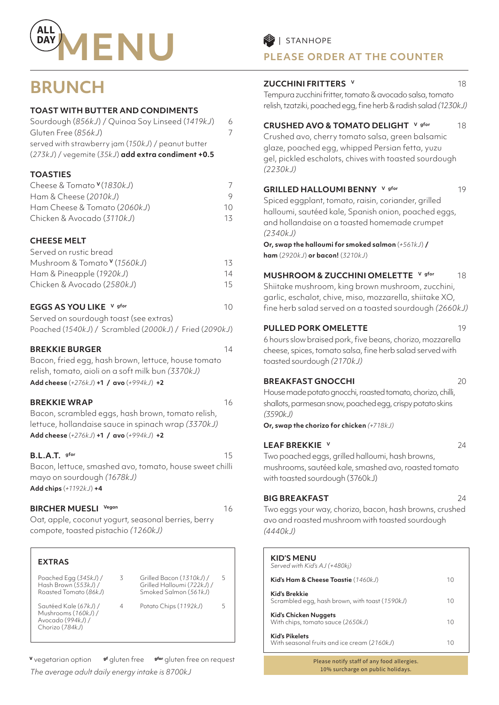

# **BRUNCH**

## **TOAST WITH BUTTER AND CONDIMENTS**

| Sourdough (856kJ) / Quinoa Soy Linseed (1419kJ)      | 6 |
|------------------------------------------------------|---|
| Gluten Free (856kJ)                                  |   |
| served with strawberry jam (150kJ) / peanut butter   |   |
| $(273kJ)$ / vegemite (35kJ) add extra condiment +0.5 |   |

## **TOASTIES**

| Cheese & Tomato <sup>v</sup> (1830kJ) |    |
|---------------------------------------|----|
| Ham & Cheese (2010kJ)                 |    |
| Ham Cheese & Tomato (2060kJ)          | 10 |
| Chicken & Avocado (3110kJ)            | 13 |

## **CHEESE MELT**

| Served on rustic bread                  |     |
|-----------------------------------------|-----|
| Mushroom & Tomato <sup>v</sup> (1560kJ) | 13. |
| Ham & Pineapple (1920kJ)                | 14  |
| Chicken & Avocado (2580kJ)              | 15. |
|                                         |     |

## **EGGS AS YOU LIKE** V gfor **10** 10

| Served on sourdough toast (see extras)                 |  |
|--------------------------------------------------------|--|
| Poached (1540kJ) / Scrambled (2000kJ) / Fried (2090kJ) |  |

## **BREKKIE BURGER** 14

Bacon, fried egg, hash brown, lettuce, house tomato relish, tomato, aioli on a soft milk bun *(3370kJ)* **Add cheese** (*+276kJ*) **+1 / avo** (*+994kJ*) **+2** 

## **BREKKIE WRAP** 16

Bacon, scrambled eggs, hash brown, tomato relish, lettuce, hollandaise sauce in spinach wrap *(3370kJ)* **Add cheese** (*+276kJ*) **+1 / avo** (*+994kJ*) **+2** 

## **B.L.A.T.** gfor 15

Bacon, lettuce, smashed avo, tomato, house sweet chilli mayo on sourdough *(1678kJ)*  **Add chips** (*+1192kJ*) **+4** 

## **BIRCHER MUESLI** Vegan **16**

Oat, apple, coconut yogurt, seasonal berries, berry compote, toasted pistachio *(1260kJ)*

## **EXTRAS**

| Poached Egg (345kJ) /<br>Hash Brown (553kJ) /<br>Roasted Tomato (86kJ)               | 3 | Grilled Bacon (1310kJ) /<br>Grilled Halloumi (722kJ) /<br>Smoked Salmon (561kJ) | 5 |
|--------------------------------------------------------------------------------------|---|---------------------------------------------------------------------------------|---|
| Sautéed Kale (67kJ) /<br>Mushrooms (160kJ) /<br>Avocado (994kJ) /<br>Chorizo (784kJ) | 4 | Potato Chips (1192kJ)                                                           | ╮ |

**<sup>V</sup>** vegetarian option **gf** gluten free **gfor** gluten free on request *The average adult daily energy intake is 8700kJ*

## **PLEASE ORDER AT THE COUNTER**

## **ZUCCHINI FRITTERS V** 18

Tempura zucchini fritter, tomato & avocado salsa, tomato relish, tzatziki, poached egg, fine herb & radish salad *(1230kJ)*

## **CRUSHED AVO & TOMATO DELIGHT** V gfor 18

Crushed avo, cherry tomato salsa, green balsamic glaze, poached egg, whipped Persian fetta, yuzu gel, pickled eschalots, chives with toasted sourdough *(2230kJ)*

## **GRILLED HALLOUMI BENNY** V gfor 19

Spiced eggplant, tomato, raisin, coriander, grilled halloumi, sautéed kale, Spanish onion, poached eggs, and hollandaise on a toasted homemade crumpet *(2340kJ)*

### **Or, swap the halloumi for smoked salmon** (*+561kJ*) **/ ham** (*2920kJ*) **or bacon!** (*3210kJ*)

## **MUSHROOM & ZUCCHINI OMELETTE V gfor** 18

Shiitake mushroom, king brown mushroom, zucchini, garlic, eschalot, chive, miso, mozzarella, shiitake XO, fine herb salad served on a toasted sourdough *(2660kJ)* 

## **PULLED PORK OMELETTE** 19

6 hours slow braised pork, five beans, chorizo, mozzarella cheese, spices, tomato salsa, fine herb salad served with toasted sourdough *(2170kJ)* 

## **BREAKFAST GNOCCHI** 20

House made potato gnocchi, roasted tomato, chorizo, chilli, shallots, parmesan snow, poached egg, crispy potato skins *(3590kJ)* 

**Or, swap the chorizo for chicken** *(+718kJ)*

## **LEAF BREKKIE v** 24

Two poached eggs, grilled halloumi, hash browns, mushrooms, sautéed kale, smashed avo, roasted tomato with toasted sourdough (3760kJ)

## **BIG BREAKFAST** 24

Two eggs your way, chorizo, bacon, hash browns, crushed avo and roasted mushroom with toasted sourdough *(4440kJ)*

# **KID'S MENU**

| Served with Kid's AJ (+480kj)                                        |    |
|----------------------------------------------------------------------|----|
| Kid's Ham & Cheese Toastie (1460kJ)                                  | 10 |
| Kid's Brekkie<br>Scrambled egg, hash brown, with toast (1590kJ)      | 10 |
| Kid's Chicken Nuggets<br>With chips, tomato sauce (2650kJ)           | 10 |
| <b>Kid's Pikelets</b><br>With seasonal fruits and ice cream (2160kJ) | 10 |

Please notify staff of any food allergies. 10% surcharge on public holidays.